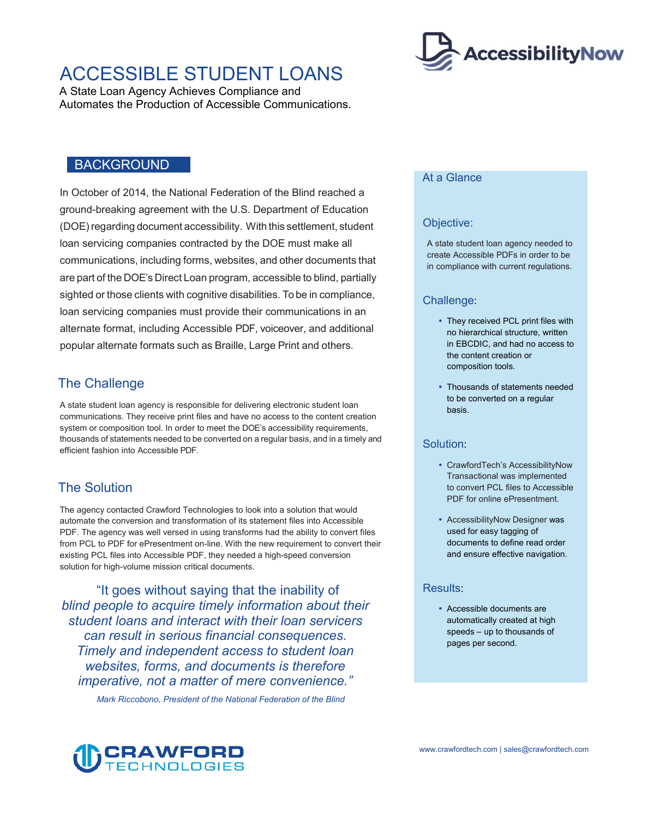# ACCESSIBLE STUDENT LOANS

A State Loan Agency Achieves Compliance and Automates the Production of Accessible Communications.

#### BACKGROUND

 (DOE) regarding document accessibility. With this settlement, student loan servicing companies contracted by the DOE must make all communications, including forms, websites, and other documents that are part of the DOE's Direct Loan program, accessible to blind, partially sighted or those clients with cognitive disabilities. To be in compliance, popular alternate formats such as Braille, Large Print and others. In October of 2014, the National Federation of the Blind reached a ground-breaking agreement with the U.S. Department of Education loan servicing companies must provide their communications in an alternate format, including Accessible PDF, voiceover, and additional

## The Challenge

 thousands of statements needed to be converted on a regular basis, and in a timely and efficient fashion into Accessible PDF. A state student loan agency is responsible for delivering electronic student loan communications. They receive print files and have no access to the content creation system or composition tool. In order to meet the DOE's accessibility requirements,

# The Solution

 from PCL to PDF for ePresentment on-line. With the new requirement to convert their The agency contacted Crawford Technologies to look into a solution that would automate the conversion and transformation of its statement files into Accessible PDF. The agency was well versed in using transforms had the ability to convert files existing PCL files into Accessible PDF, they needed a high-speed conversion solution for high-volume mission critical documents.

"It goes without saying that the inability of *blind people to acquire timely information about their student loans and interact with their loan servicers can result in serious financial consequences. Timely and independent access to student loan websites, forms, and documents is therefore imperative, not a matter of mere convenience."* 

*Mark Riccobono, President of the National Federation of the Blind* 



#### At a Glance

#### Objective:

A state student loan agency needed to create Accessible PDFs in order to be in compliance with current regulations.

#### Challenge:

- They received PCL print files with no hierarchical structure, written in EBCDIC, and had no access to the content creation or composition tools.
- Thousands of statements needed to be converted on a regular basis.

#### Solution:

- CrawfordTech's AccessibilityNow Transactional was implemented to convert PCL files to Accessible PDF for online ePresentment.
- AccessibilityNow Designer was used for easy tagging of documents to define read order and ensure effective navigation.

#### Results:

 Accessible documents are automatically created at high speeds – up to thousands of pages per second.